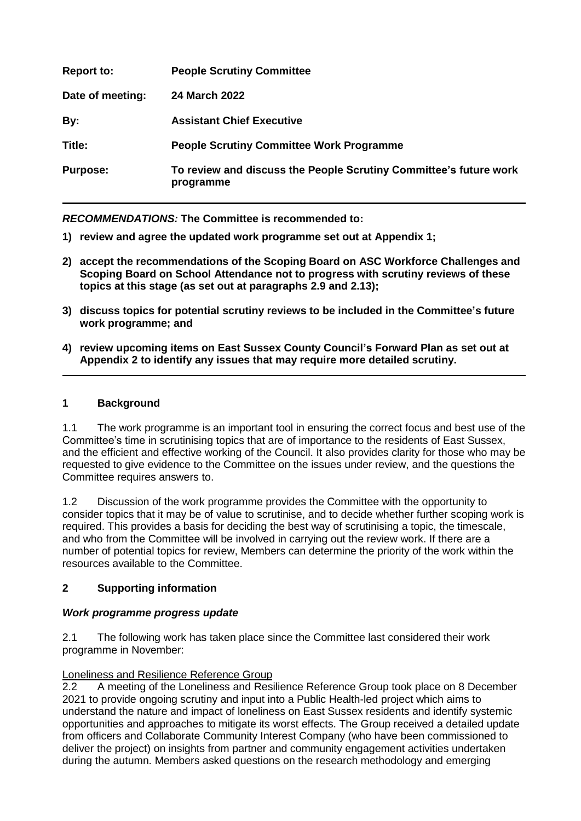| <b>Report to:</b> | <b>People Scrutiny Committee</b>                                               |
|-------------------|--------------------------------------------------------------------------------|
| Date of meeting:  | <b>24 March 2022</b>                                                           |
| By:               | <b>Assistant Chief Executive</b>                                               |
| Title:            | <b>People Scrutiny Committee Work Programme</b>                                |
| <b>Purpose:</b>   | To review and discuss the People Scrutiny Committee's future work<br>programme |

*RECOMMENDATIONS:* **The Committee is recommended to:**

- **1) review and agree the updated work programme set out at Appendix 1;**
- **2) accept the recommendations of the Scoping Board on ASC Workforce Challenges and Scoping Board on School Attendance not to progress with scrutiny reviews of these topics at this stage (as set out at paragraphs 2.9 and 2.13);**
- **3) discuss topics for potential scrutiny reviews to be included in the Committee's future work programme; and**
- **4) review upcoming items on East Sussex County Council's Forward Plan as set out at Appendix 2 to identify any issues that may require more detailed scrutiny.**

## **1 Background**

1.1 The work programme is an important tool in ensuring the correct focus and best use of the Committee's time in scrutinising topics that are of importance to the residents of East Sussex, and the efficient and effective working of the Council. It also provides clarity for those who may be requested to give evidence to the Committee on the issues under review, and the questions the Committee requires answers to.

1.2 Discussion of the work programme provides the Committee with the opportunity to consider topics that it may be of value to scrutinise, and to decide whether further scoping work is required. This provides a basis for deciding the best way of scrutinising a topic, the timescale, and who from the Committee will be involved in carrying out the review work. If there are a number of potential topics for review, Members can determine the priority of the work within the resources available to the Committee.

#### **2 Supporting information**

#### *Work programme progress update*

2.1 The following work has taken place since the Committee last considered their work programme in November:

#### Loneliness and Resilience Reference Group

2.2 A meeting of the Loneliness and Resilience Reference Group took place on 8 December 2021 to provide ongoing scrutiny and input into a Public Health-led project which aims to understand the nature and impact of loneliness on East Sussex residents and identify systemic opportunities and approaches to mitigate its worst effects. The Group received a detailed update from officers and Collaborate Community Interest Company (who have been commissioned to deliver the project) on insights from partner and community engagement activities undertaken during the autumn. Members asked questions on the research methodology and emerging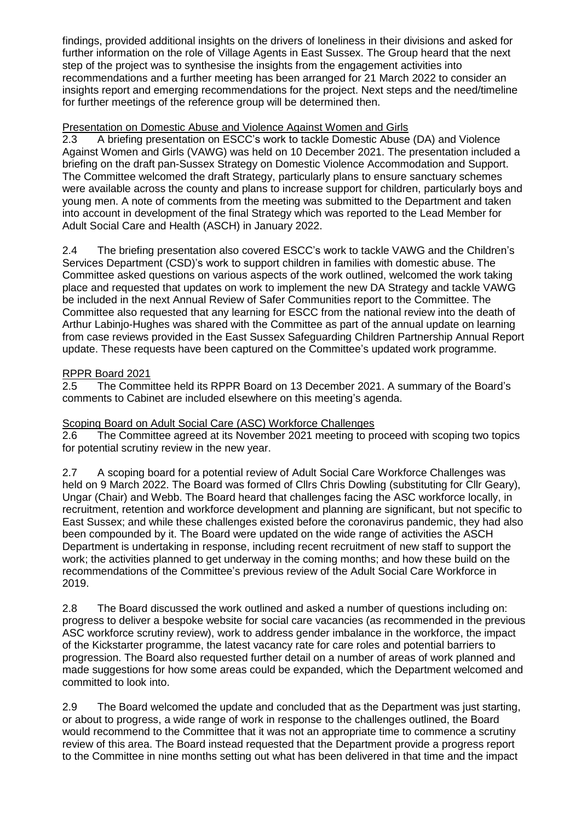findings, provided additional insights on the drivers of loneliness in their divisions and asked for further information on the role of Village Agents in East Sussex. The Group heard that the next step of the project was to synthesise the insights from the engagement activities into recommendations and a further meeting has been arranged for 21 March 2022 to consider an insights report and emerging recommendations for the project. Next steps and the need/timeline for further meetings of the reference group will be determined then.

## Presentation on Domestic Abuse and Violence Against Women and Girls

2.3 A briefing presentation on ESCC's work to tackle Domestic Abuse (DA) and Violence Against Women and Girls (VAWG) was held on 10 December 2021. The presentation included a briefing on the draft pan-Sussex Strategy on Domestic Violence Accommodation and Support. The Committee welcomed the draft Strategy, particularly plans to ensure sanctuary schemes were available across the county and plans to increase support for children, particularly boys and young men. A note of comments from the meeting was submitted to the Department and taken into account in development of the final Strategy which was reported to the Lead Member for Adult Social Care and Health (ASCH) in January 2022.

2.4 The briefing presentation also covered ESCC's work to tackle VAWG and the Children's Services Department (CSD)'s work to support children in families with domestic abuse. The Committee asked questions on various aspects of the work outlined, welcomed the work taking place and requested that updates on work to implement the new DA Strategy and tackle VAWG be included in the next Annual Review of Safer Communities report to the Committee. The Committee also requested that any learning for ESCC from the national review into the death of Arthur Labinjo-Hughes was shared with the Committee as part of the annual update on learning from case reviews provided in the East Sussex Safeguarding Children Partnership Annual Report update. These requests have been captured on the Committee's updated work programme.

# RPPR Board 2021

2.5 The Committee held its RPPR Board on 13 December 2021. A summary of the Board's comments to Cabinet are included elsewhere on this meeting's agenda.

# Scoping Board on Adult Social Care (ASC) Workforce Challenges

2.6 The Committee agreed at its November 2021 meeting to proceed with scoping two topics for potential scrutiny review in the new year.

2.7 A scoping board for a potential review of Adult Social Care Workforce Challenges was held on 9 March 2022. The Board was formed of Cllrs Chris Dowling (substituting for Cllr Geary), Ungar (Chair) and Webb. The Board heard that challenges facing the ASC workforce locally, in recruitment, retention and workforce development and planning are significant, but not specific to East Sussex; and while these challenges existed before the coronavirus pandemic, they had also been compounded by it. The Board were updated on the wide range of activities the ASCH Department is undertaking in response, including recent recruitment of new staff to support the work; the activities planned to get underway in the coming months; and how these build on the recommendations of the Committee's previous review of the Adult Social Care Workforce in 2019.

2.8 The Board discussed the work outlined and asked a number of questions including on: progress to deliver a bespoke website for social care vacancies (as recommended in the previous ASC workforce scrutiny review), work to address gender imbalance in the workforce, the impact of the Kickstarter programme, the latest vacancy rate for care roles and potential barriers to progression. The Board also requested further detail on a number of areas of work planned and made suggestions for how some areas could be expanded, which the Department welcomed and committed to look into.

2.9 The Board welcomed the update and concluded that as the Department was just starting, or about to progress, a wide range of work in response to the challenges outlined, the Board would recommend to the Committee that it was not an appropriate time to commence a scrutiny review of this area. The Board instead requested that the Department provide a progress report to the Committee in nine months setting out what has been delivered in that time and the impact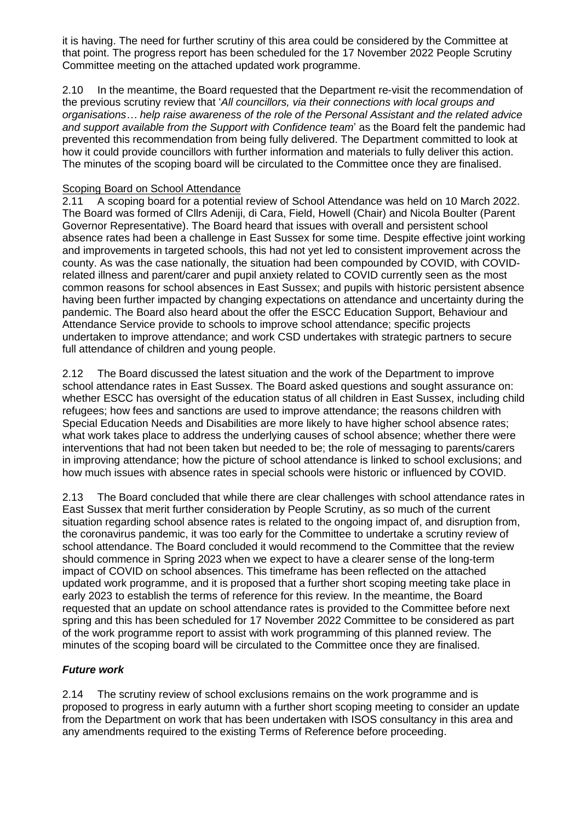it is having. The need for further scrutiny of this area could be considered by the Committee at that point. The progress report has been scheduled for the 17 November 2022 People Scrutiny Committee meeting on the attached updated work programme.

2.10 In the meantime, the Board requested that the Department re-visit the recommendation of the previous scrutiny review that '*All councillors, via their connections with local groups and organisations… help raise awareness of the role of the Personal Assistant and the related advice and support available from the Support with Confidence team*' as the Board felt the pandemic had prevented this recommendation from being fully delivered. The Department committed to look at how it could provide councillors with further information and materials to fully deliver this action. The minutes of the scoping board will be circulated to the Committee once they are finalised.

# Scoping Board on School Attendance<br>2.11 A scoping board for a potential

A scoping board for a potential review of School Attendance was held on 10 March 2022. The Board was formed of Cllrs Adeniji, di Cara, Field, Howell (Chair) and Nicola Boulter (Parent Governor Representative). The Board heard that issues with overall and persistent school absence rates had been a challenge in East Sussex for some time. Despite effective joint working and improvements in targeted schools, this had not yet led to consistent improvement across the county. As was the case nationally, the situation had been compounded by COVID, with COVIDrelated illness and parent/carer and pupil anxiety related to COVID currently seen as the most common reasons for school absences in East Sussex; and pupils with historic persistent absence having been further impacted by changing expectations on attendance and uncertainty during the pandemic. The Board also heard about the offer the ESCC Education Support, Behaviour and Attendance Service provide to schools to improve school attendance; specific projects undertaken to improve attendance; and work CSD undertakes with strategic partners to secure full attendance of children and young people.

2.12 The Board discussed the latest situation and the work of the Department to improve school attendance rates in East Sussex. The Board asked questions and sought assurance on: whether ESCC has oversight of the education status of all children in East Sussex, including child refugees; how fees and sanctions are used to improve attendance; the reasons children with Special Education Needs and Disabilities are more likely to have higher school absence rates; what work takes place to address the underlying causes of school absence; whether there were interventions that had not been taken but needed to be; the role of messaging to parents/carers in improving attendance; how the picture of school attendance is linked to school exclusions; and how much issues with absence rates in special schools were historic or influenced by COVID.

2.13 The Board concluded that while there are clear challenges with school attendance rates in East Sussex that merit further consideration by People Scrutiny, as so much of the current situation regarding school absence rates is related to the ongoing impact of, and disruption from, the coronavirus pandemic, it was too early for the Committee to undertake a scrutiny review of school attendance. The Board concluded it would recommend to the Committee that the review should commence in Spring 2023 when we expect to have a clearer sense of the long-term impact of COVID on school absences. This timeframe has been reflected on the attached updated work programme, and it is proposed that a further short scoping meeting take place in early 2023 to establish the terms of reference for this review. In the meantime, the Board requested that an update on school attendance rates is provided to the Committee before next spring and this has been scheduled for 17 November 2022 Committee to be considered as part of the work programme report to assist with work programming of this planned review. The minutes of the scoping board will be circulated to the Committee once they are finalised.

# *Future work*

2.14 The scrutiny review of school exclusions remains on the work programme and is proposed to progress in early autumn with a further short scoping meeting to consider an update from the Department on work that has been undertaken with ISOS consultancy in this area and any amendments required to the existing Terms of Reference before proceeding.